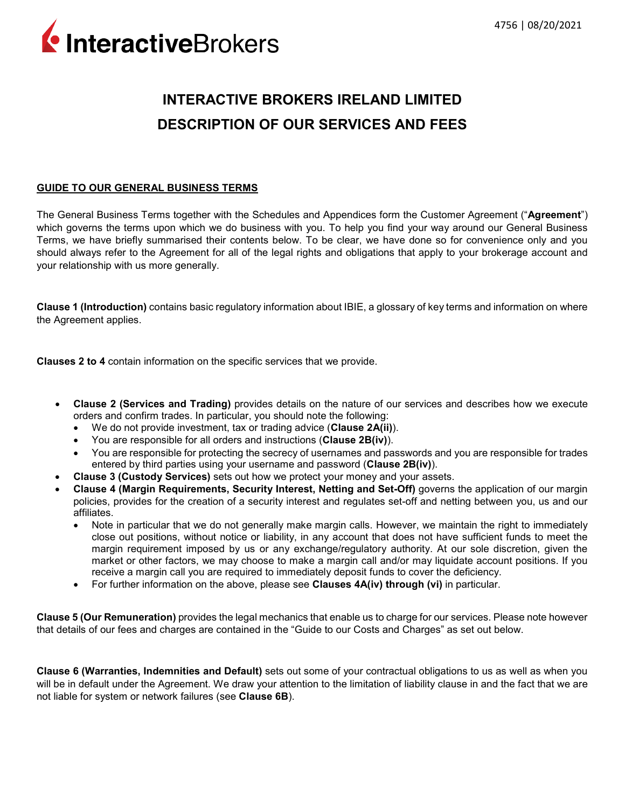InteractiveBrokers

# **INTERACTIVE BROKERS IRELAND LIMITED DESCRIPTION OF OUR SERVICES AND FEES**

# **GUIDE TO OUR GENERAL BUSINESS TERMS**

The General Business Terms together with the Schedules and Appendices form the Customer Agreement ("**Agreement**") which governs the terms upon which we do business with you. To help you find your way around our General Business Terms, we have briefly summarised their contents below. To be clear, we have done so for convenience only and you should always refer to the Agreement for all of the legal rights and obligations that apply to your brokerage account and your relationship with us more generally.

**Clause 1 (Introduction)** contains basic regulatory information about IBIE, a glossary of key terms and information on where the Agreement applies.

**Clauses 2 to 4** contain information on the specific services that we provide.

- **Clause 2 (Services and Trading)** provides details on the nature of our services and describes how we execute orders and confirm trades. In particular, you should note the following:
	- We do not provide investment, tax or trading advice (**Clause 2A(ii)**).
	- You are responsible for all orders and instructions (**Clause 2B(iv)**).
	- You are responsible for protecting the secrecy of usernames and passwords and you are responsible for trades entered by third parties using your username and password (**Clause 2B(iv)**).
- **Clause 3 (Custody Services)** sets out how we protect your money and your assets.
- **Clause 4 (Margin Requirements, Security Interest, Netting and Set-Off)** governs the application of our margin policies, provides for the creation of a security interest and regulates set-off and netting between you, us and our affiliates.
	- Note in particular that we do not generally make margin calls. However, we maintain the right to immediately close out positions, without notice or liability, in any account that does not have sufficient funds to meet the margin requirement imposed by us or any exchange/regulatory authority. At our sole discretion, given the market or other factors, we may choose to make a margin call and/or may liquidate account positions. If you receive a margin call you are required to immediately deposit funds to cover the deficiency.
	- For further information on the above, please see **Clauses 4A(iv) through (vi)** in particular.

**Clause 5 (Our Remuneration)** provides the legal mechanics that enable us to charge for our services. Please note however that details of our fees and charges are contained in the "Guide to our Costs and Charges" as set out below.

**Clause 6 (Warranties, Indemnities and Default)** sets out some of your contractual obligations to us as well as when you will be in default under the Agreement. We draw your attention to the limitation of liability clause in and the fact that we are not liable for system or network failures (see **Clause 6B**).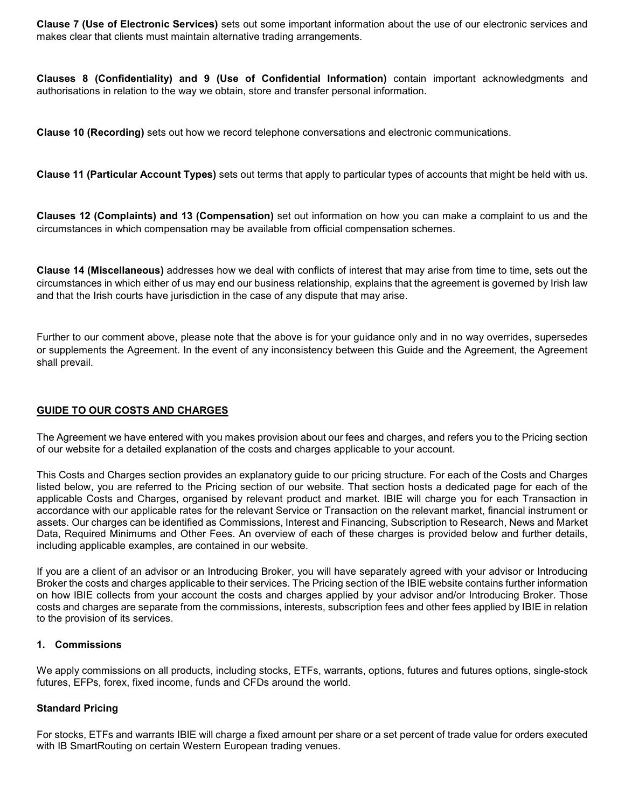**Clause 7 (Use of Electronic Services)** sets out some important information about the use of our electronic services and makes clear that clients must maintain alternative trading arrangements.

**Clauses 8 (Confidentiality) and 9 (Use of Confidential Information)** contain important acknowledgments and authorisations in relation to the way we obtain, store and transfer personal information.

**Clause 10 (Recording)** sets out how we record telephone conversations and electronic communications.

**Clause 11 (Particular Account Types)** sets out terms that apply to particular types of accounts that might be held with us.

**Clauses 12 (Complaints) and 13 (Compensation)** set out information on how you can make a complaint to us and the circumstances in which compensation may be available from official compensation schemes.

**Clause 14 (Miscellaneous)** addresses how we deal with conflicts of interest that may arise from time to time, sets out the circumstances in which either of us may end our business relationship, explains that the agreement is governed by Irish law and that the Irish courts have jurisdiction in the case of any dispute that may arise.

Further to our comment above, please note that the above is for your guidance only and in no way overrides, supersedes or supplements the Agreement. In the event of any inconsistency between this Guide and the Agreement, the Agreement shall prevail.

## **GUIDE TO OUR COSTS AND CHARGES**

The Agreement we have entered with you makes provision about our fees and charges, and refers you to the Pricing section of our website for a detailed explanation of the costs and charges applicable to your account.

This Costs and Charges section provides an explanatory guide to our pricing structure. For each of the Costs and Charges listed below, you are referred to the Pricing section of our website. That section hosts a dedicated page for each of the applicable Costs and Charges, organised by relevant product and market. IBIE will charge you for each Transaction in accordance with our applicable rates for the relevant Service or Transaction on the relevant market, financial instrument or assets. Our charges can be identified as Commissions, Interest and Financing, Subscription to Research, News and Market Data, Required Minimums and Other Fees. An overview of each of these charges is provided below and further details, including applicable examples, are contained in our website.

If you are a client of an advisor or an Introducing Broker, you will have separately agreed with your advisor or Introducing Broker the costs and charges applicable to their services. The Pricing section of the IBIE website contains further information on how IBIE collects from your account the costs and charges applied by your advisor and/or Introducing Broker. Those costs and charges are separate from the commissions, interests, subscription fees and other fees applied by IBIE in relation to the provision of its services.

#### **1. Commissions**

We apply commissions on all products, including stocks, ETFs, warrants, options, futures and futures options, single-stock futures, EFPs, forex, fixed income, funds and CFDs around the world.

#### **Standard Pricing**

For stocks, ETFs and warrants IBIE will charge a fixed amount per share or a set percent of trade value for orders executed with IB SmartRouting on certain Western European trading venues.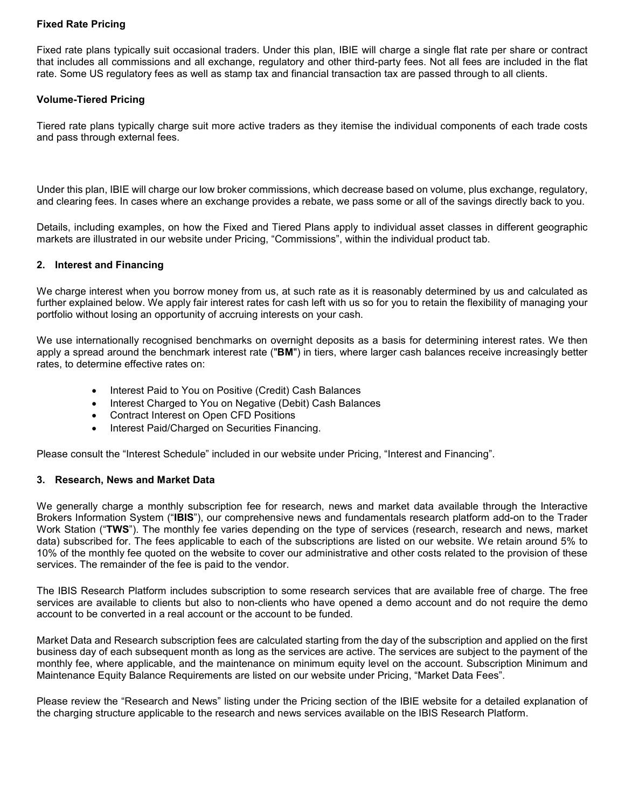## **Fixed Rate Pricing**

Fixed rate plans typically suit occasional traders. Under this plan, IBIE will charge a single flat rate per share or contract that includes all commissions and all exchange, regulatory and other third-party fees. Not all fees are included in the flat rate. Some US regulatory fees as well as stamp tax and financial transaction tax are passed through to all clients.

## **Volume-Tiered Pricing**

Tiered rate plans typically charge suit more active traders as they itemise the individual components of each trade costs and pass through external fees.

Under this plan, IBIE will charge our low broker commissions, which decrease based on volume, plus exchange, regulatory, and clearing fees. In cases where an exchange provides a rebate, we pass some or all of the savings directly back to you.

Details, including examples, on how the Fixed and Tiered Plans apply to individual asset classes in different geographic markets are illustrated in our website under Pricing, "Commissions", within the individual product tab.

#### **2. Interest and Financing**

We charge interest when you borrow money from us, at such rate as it is reasonably determined by us and calculated as further explained below. We apply fair interest rates for cash left with us so for you to retain the flexibility of managing your portfolio without losing an opportunity of accruing interests on your cash.

We use internationally recognised benchmarks on overnight deposits as a basis for determining interest rates. We then apply a spread around the benchmark interest rate ("**BM**") in tiers, where larger cash balances receive increasingly better rates, to determine effective rates on:

- Interest Paid to You on Positive (Credit) Cash Balances
- Interest Charged to You on Negative (Debit) Cash Balances
- Contract Interest on Open CFD Positions
- Interest Paid/Charged on Securities Financing.

Please consult the "Interest Schedule" included in our website under Pricing, "Interest and Financing".

#### **3. Research, News and Market Data**

We generally charge a monthly subscription fee for research, news and market data available through the Interactive Brokers Information System ("**IBIS**"), our comprehensive news and fundamentals research platform add-on to the Trader Work Station ("**TWS**"). The monthly fee varies depending on the type of services (research, research and news, market data) subscribed for. The fees applicable to each of the subscriptions are listed on our website. We retain around 5% to 10% of the monthly fee quoted on the website to cover our administrative and other costs related to the provision of these services. The remainder of the fee is paid to the vendor.

The IBIS Research Platform includes subscription to some research services that are available free of charge. The free services are available to clients but also to non-clients who have opened a demo account and do not require the demo account to be converted in a real account or the account to be funded.

Market Data and Research subscription fees are calculated starting from the day of the subscription and applied on the first business day of each subsequent month as long as the services are active. The services are subject to the payment of the monthly fee, where applicable, and the maintenance on minimum equity level on the account. Subscription Minimum and Maintenance Equity Balance Requirements are listed on our website under Pricing, "Market Data Fees".

Please review the "Research and News" listing under the Pricing section of the IBIE website for a detailed explanation of the charging structure applicable to the research and news services available on the IBIS Research Platform.